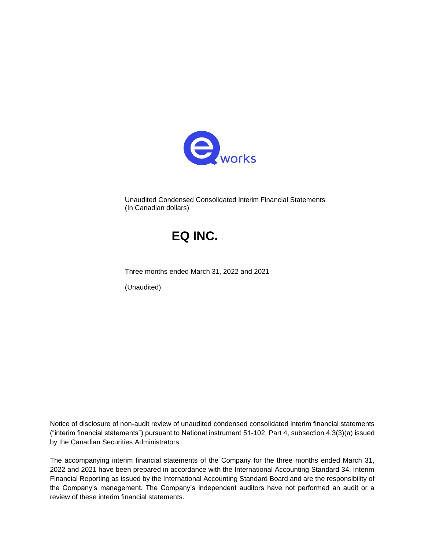

Unaudited Condensed Consolidated Interim Financial Statements (In Canadian dollars)

## **EQ INC.**

Three months ended March 31, 2022 and 2021

(Unaudited)

Notice of disclosure of non-audit review of unaudited condensed consolidated interim financial statements ("interim financial statements") pursuant to National instrument 51-102, Part 4, subsection 4.3(3)(a) issued by the Canadian Securities Administrators.

The accompanying interim financial statements of the Company for the three months ended March 31, 2022 and 2021 have been prepared in accordance with the International Accounting Standard 34, Interim Financial Reporting as issued by the International Accounting Standard Board and are the responsibility of the Company's management. The Company's independent auditors have not performed an audit or a review of these interim financial statements.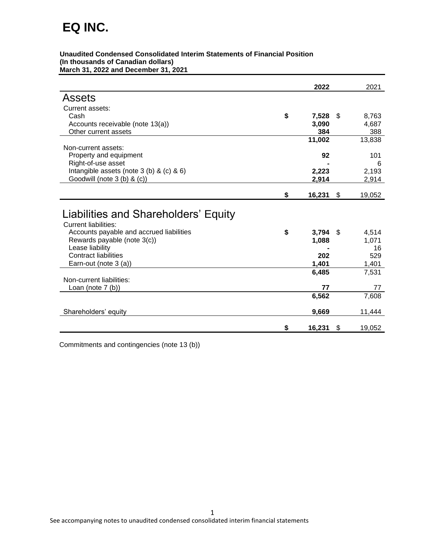| Unaudited Condensed Consolidated Interim Statements of Financial Position |
|---------------------------------------------------------------------------|
| (In thousands of Canadian dollars)                                        |
| March 31, 2022 and December 31, 2021                                      |

|                                                                                                                                                                                                                           | 2022                                      |     | 2021                                 |
|---------------------------------------------------------------------------------------------------------------------------------------------------------------------------------------------------------------------------|-------------------------------------------|-----|--------------------------------------|
| Assets                                                                                                                                                                                                                    |                                           |     |                                      |
| Current assets:                                                                                                                                                                                                           |                                           |     |                                      |
| Cash                                                                                                                                                                                                                      | \$<br>7,528                               | \$. | 8,763                                |
| Accounts receivable (note 13(a))                                                                                                                                                                                          | 3,090                                     |     | 4,687                                |
| Other current assets                                                                                                                                                                                                      | 384                                       |     | 388                                  |
|                                                                                                                                                                                                                           | 11,002                                    |     | 13,838                               |
| Non-current assets:                                                                                                                                                                                                       |                                           |     |                                      |
| Property and equipment                                                                                                                                                                                                    | 92                                        |     | 101                                  |
| Right-of-use asset                                                                                                                                                                                                        |                                           |     | 6                                    |
| Intangible assets (note 3 (b) & (c) & 6)                                                                                                                                                                                  | 2,223                                     |     | 2,193                                |
| Goodwill (note 3 (b) & (c))                                                                                                                                                                                               | 2,914                                     |     | 2,914                                |
|                                                                                                                                                                                                                           |                                           |     |                                      |
|                                                                                                                                                                                                                           | \$<br>16,231                              | \$  | 19,052                               |
| Liabilities and Shareholders' Equity<br><b>Current liabilities:</b><br>Accounts payable and accrued liabilities<br>Rewards payable (note 3(c))<br>Lease liability<br><b>Contract liabilities</b><br>Earn-out (note 3 (a)) | \$<br>$3,794$ \$<br>1,088<br>202<br>1,401 |     | 4,514<br>1,071<br>16<br>529<br>1,401 |
| Non-current liabilities:                                                                                                                                                                                                  | 6,485                                     |     | 7,531                                |
| Loan (note $7$ (b))                                                                                                                                                                                                       | 77                                        |     | 77                                   |
|                                                                                                                                                                                                                           | 6,562                                     |     | 7,608                                |
| Shareholders' equity                                                                                                                                                                                                      | 9,669                                     |     | 11,444                               |
|                                                                                                                                                                                                                           | \$<br>16,231                              | \$  | 19,052                               |

Commitments and contingencies (note 13 (b))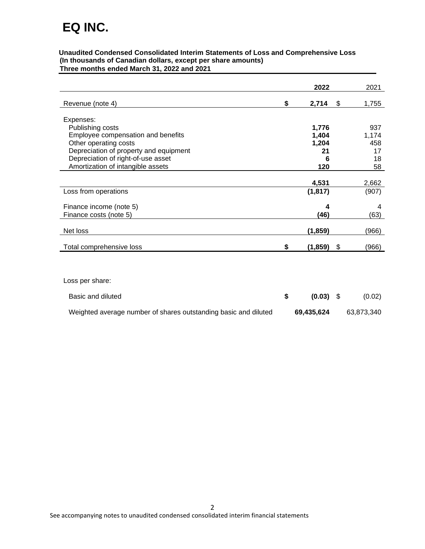#### **Unaudited Condensed Consolidated Interim Statements of Loss and Comprehensive Loss (In thousands of Canadian dollars, except per share amounts) Three months ended March 31, 2022 and 2021**

|                                        | 2022          | 2021         |
|----------------------------------------|---------------|--------------|
| Revenue (note 4)                       | \$<br>2,714   | \$<br>1,755  |
| Expenses:                              |               |              |
| Publishing costs                       | 1,776         | 937          |
| Employee compensation and benefits     | 1,404         | 1,174        |
| Other operating costs                  | 1,204         | 458          |
| Depreciation of property and equipment | 21            | 17           |
| Depreciation of right-of-use asset     | 6             | 18           |
| Amortization of intangible assets      | 120           | 58           |
|                                        |               |              |
|                                        | 4,531         | 2,662        |
| Loss from operations                   | (1, 817)      | (907)        |
| Finance income (note 5)                | Δ             | 4            |
| Finance costs (note 5)                 | (46)          | (63)         |
| Net loss                               | (1, 859)      | (966)        |
| Total comprehensive loss               | \$<br>(1,859) | \$<br>(966)  |
|                                        |               |              |
| Loss per share:                        |               |              |
| Basic and diluted                      | \$<br>(0.03)  | \$<br>(0.02) |

Weighted average number of shares outstanding basic and diluted **69,435,624** 63,873,340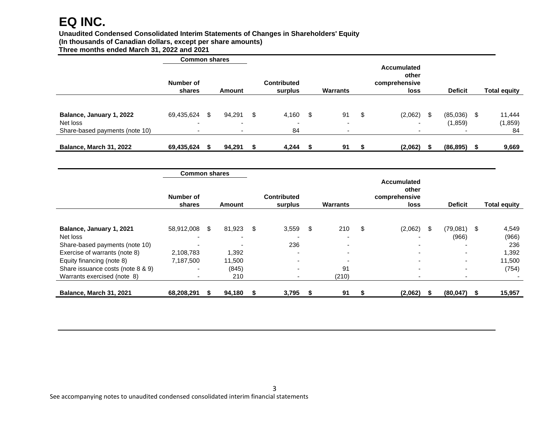#### **Unaudited Condensed Consolidated Interim Statements of Changes in Shareholders' Equity**

**(In thousands of Canadian dollars, except per share amounts)**

**Three months ended March 31, 2022 and 2021**

|                                      | <b>Common shares</b>                   |     |                                    |      |                                   |      |                                |    |                                                      |     |                      |      |                     |
|--------------------------------------|----------------------------------------|-----|------------------------------------|------|-----------------------------------|------|--------------------------------|----|------------------------------------------------------|-----|----------------------|------|---------------------|
|                                      | Number of<br>shares                    |     | Amount                             |      | <b>Contributed</b><br>surplus     |      | <b>Warrants</b>                |    | <b>Accumulated</b><br>other<br>comprehensive<br>loss |     | <b>Deficit</b>       |      | <b>Total equity</b> |
|                                      |                                        |     |                                    |      |                                   |      |                                |    |                                                      |     |                      |      |                     |
| Balance, January 1, 2022<br>Net loss | 69,435,624<br>$\overline{\phantom{0}}$ | \$. | 94,291<br>$\overline{\phantom{a}}$ | - \$ | 4,160<br>$\overline{\phantom{0}}$ | - \$ | 91<br>$\overline{\phantom{0}}$ | \$ | (2,062)<br>۰                                         | \$. | (85,036)<br>(1, 859) | - \$ | 11,444<br>(1, 859)  |
| Share-based payments (note 10)       | $\overline{\phantom{a}}$               |     | $\overline{\phantom{a}}$           |      | 84                                |      |                                |    | $\overline{\phantom{0}}$                             |     |                      |      | 84                  |
| Balance, March 31, 2022              | 69,435,624                             |     | 94,291                             |      | 4,244                             |      | 91                             |    | (2,062)                                              |     | (86, 895)            |      | 9,669               |

|                                   | <b>Common shares</b> |              |      |                               |     |                          |                                                      |   |                          |     |                     |
|-----------------------------------|----------------------|--------------|------|-------------------------------|-----|--------------------------|------------------------------------------------------|---|--------------------------|-----|---------------------|
|                                   | Number of<br>shares  | Amount       |      | <b>Contributed</b><br>surplus |     | <b>Warrants</b>          | <b>Accumulated</b><br>other<br>comprehensive<br>loss |   | <b>Deficit</b>           |     | <b>Total equity</b> |
|                                   |                      |              |      |                               |     |                          |                                                      |   |                          |     |                     |
| Balance, January 1, 2021          | 58,912,008           | \$<br>81,923 | - \$ | 3,559                         | -\$ | 210                      | \$<br>(2,062)                                        | S | (79,081)                 | -\$ | 4,549               |
| Net loss                          |                      |              |      |                               |     |                          |                                                      |   | (966)                    |     | (966)               |
| Share-based payments (note 10)    |                      |              |      | 236                           |     |                          |                                                      |   |                          |     | 236                 |
| Exercise of warrants (note 8)     | 2,108,783            | 1,392        |      | $\overline{\phantom{0}}$      |     | $\overline{\phantom{0}}$ | $\overline{\phantom{0}}$                             |   | $\overline{\phantom{a}}$ |     | .392.               |
| Equity financing (note 8)         | 7,187,500            | 11,500       |      |                               |     |                          | $\overline{\phantom{0}}$                             |   |                          |     | 11,500              |
| Share issuance costs (note 8 & 9) |                      | (845)        |      |                               |     | 91                       | $\blacksquare$                                       |   | $\overline{\phantom{0}}$ |     | (754)               |
| Warrants exercised (note 8)       |                      | 210          |      |                               |     | (210)                    | $\overline{\phantom{0}}$                             |   |                          |     |                     |
|                                   |                      |              |      |                               |     |                          |                                                      |   |                          |     |                     |
| Balance, March 31, 2021           | 68,208,291           | 94,180       | -56  | 3,795                         |     | 91                       | (2,062)                                              |   | (80, 047)                |     | 15,957              |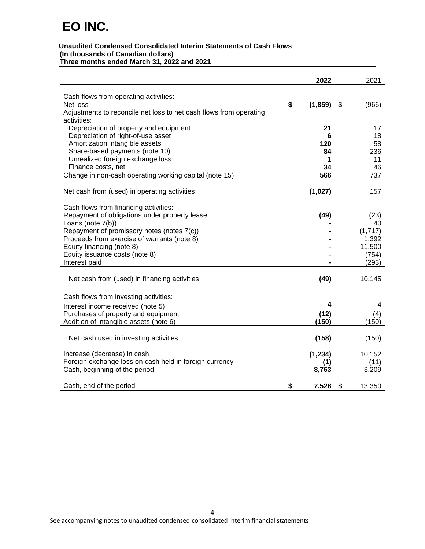#### **Unaudited Condensed Consolidated Interim Statements of Cash Flows (In thousands of Canadian dollars) Three months ended March 31, 2022 and 2021**

|                                                                                   | 2022           | 2021         |
|-----------------------------------------------------------------------------------|----------------|--------------|
|                                                                                   |                |              |
| Cash flows from operating activities:                                             |                |              |
| Net loss                                                                          | \$<br>(1, 859) | \$<br>(966)  |
| Adjustments to reconcile net loss to net cash flows from operating<br>activities: |                |              |
| Depreciation of property and equipment                                            | 21             | 17           |
| Depreciation of right-of-use asset                                                | 6              | 18           |
| Amortization intangible assets                                                    | 120            | 58           |
| Share-based payments (note 10)                                                    | 84             | 236          |
| Unrealized foreign exchange loss                                                  | 1              | 11           |
| Finance costs, net                                                                | 34             | 46           |
| Change in non-cash operating working capital (note 15)                            | 566            | 737          |
|                                                                                   |                |              |
| Net cash from (used) in operating activities                                      | (1,027)        | 157          |
|                                                                                   |                |              |
| Cash flows from financing activities:                                             |                |              |
| Repayment of obligations under property lease                                     | (49)           | (23)         |
| Loans (note 7(b))                                                                 |                | 40           |
| Repayment of promissory notes (notes 7(c))                                        |                | (1,717)      |
| Proceeds from exercise of warrants (note 8)                                       |                | 1,392        |
| Equity financing (note 8)                                                         |                | 11,500       |
| Equity issuance costs (note 8)                                                    |                | (754)        |
| Interest paid                                                                     |                | (293)        |
| Net cash from (used) in financing activities                                      | (49)           | 10,145       |
|                                                                                   |                |              |
| Cash flows from investing activities:                                             |                |              |
| Interest income received (note 5)                                                 | 4              | 4            |
| Purchases of property and equipment                                               | (12)           | (4)          |
| Addition of intangible assets (note 6)                                            | (150)          | (150)        |
|                                                                                   |                |              |
| Net cash used in investing activities                                             | (158)          | (150)        |
|                                                                                   |                |              |
| Increase (decrease) in cash                                                       | (1, 234)       | 10,152       |
| Foreign exchange loss on cash held in foreign currency                            | (1)            | (11)         |
| Cash, beginning of the period                                                     | 8,763          | 3,209        |
| Cash, end of the period                                                           | \$<br>7,528    | \$<br>13,350 |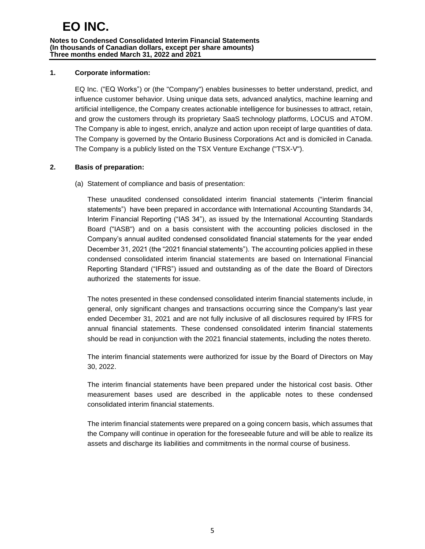#### **Notes to Condensed Consolidated Interim Financial Statements (In thousands of Canadian dollars, except per share amounts) Three months ended March 31, 2022 and 2021**

#### **1. Corporate information:**

EQ Inc. ("EQ Works") or (the "Company") enables businesses to better understand, predict, and influence customer behavior. Using unique data sets, advanced analytics, machine learning and artificial intelligence, the Company creates actionable intelligence for businesses to attract, retain, and grow the customers through its proprietary SaaS technology platforms, LOCUS and ATOM. The Company is able to ingest, enrich, analyze and action upon receipt of large quantities of data. The Company is governed by the Ontario Business Corporations Act and is domiciled in Canada. The Company is a publicly listed on the TSX Venture Exchange ("TSX-V").

## **2. Basis of preparation:**

(a) Statement of compliance and basis of presentation:

These unaudited condensed consolidated interim financial statements ("interim financial statements") have been prepared in accordance with International Accounting Standards 34, Interim Financial Reporting ("IAS 34"), as issued by the International Accounting Standards Board ("IASB") and on a basis consistent with the accounting policies disclosed in the Company's annual audited condensed consolidated financial statements for the year ended December 31, 2021 (the "2021 financial statements"). The accounting policies applied in these condensed consolidated interim financial statements are based on International Financial Reporting Standard ("IFRS") issued and outstanding as of the date the Board of Directors authorized the statements for issue.

The notes presented in these condensed consolidated interim financial statements include, in general, only significant changes and transactions occurring since the Company's last year ended December 31, 2021 and are not fully inclusive of all disclosures required by IFRS for annual financial statements. These condensed consolidated interim financial statements should be read in conjunction with the 2021 financial statements, including the notes thereto.

The interim financial statements were authorized for issue by the Board of Directors on May 30, 2022.

The interim financial statements have been prepared under the historical cost basis. Other measurement bases used are described in the applicable notes to these condensed consolidated interim financial statements.

The interim financial statements were prepared on a going concern basis, which assumes that the Company will continue in operation for the foreseeable future and will be able to realize its assets and discharge its liabilities and commitments in the normal course of business.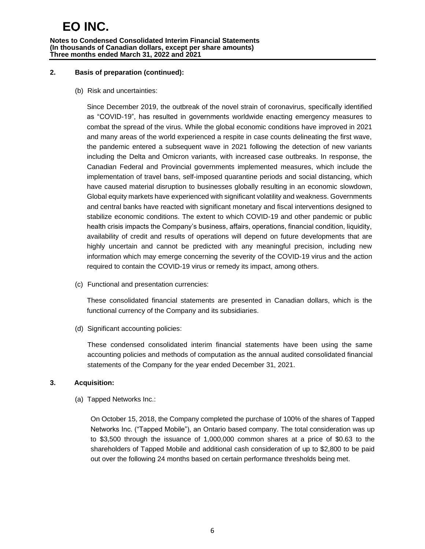#### **Notes to Condensed Consolidated Interim Financial Statements (In thousands of Canadian dollars, except per share amounts) Three months ended March 31, 2022 and 2021**

#### **2. Basis of preparation (continued):**

(b) Risk and uncertainties:

Since December 2019, the outbreak of the novel strain of coronavirus, specifically identified as "COVID-19", has resulted in governments worldwide enacting emergency measures to combat the spread of the virus. While the global economic conditions have improved in 2021 and many areas of the world experienced a respite in case counts delineating the first wave, the pandemic entered a subsequent wave in 2021 following the detection of new variants including the Delta and Omicron variants, with increased case outbreaks. In response, the Canadian Federal and Provincial governments implemented measures, which include the implementation of travel bans, self-imposed quarantine periods and social distancing, which have caused material disruption to businesses globally resulting in an economic slowdown, Global equity markets have experienced with significant volatility and weakness. Governments and central banks have reacted with significant monetary and fiscal interventions designed to stabilize economic conditions. The extent to which COVID-19 and other pandemic or public health crisis impacts the Company's business, affairs, operations, financial condition, liquidity, availability of credit and results of operations will depend on future developments that are highly uncertain and cannot be predicted with any meaningful precision, including new information which may emerge concerning the severity of the COVID-19 virus and the action required to contain the COVID-19 virus or remedy its impact, among others.

(c) Functional and presentation currencies:

These consolidated financial statements are presented in Canadian dollars, which is the functional currency of the Company and its subsidiaries.

(d) Significant accounting policies:

These condensed consolidated interim financial statements have been using the same accounting policies and methods of computation as the annual audited consolidated financial statements of the Company for the year ended December 31, 2021.

## **3. Acquisition:**

(a) Tapped Networks Inc.:

On October 15, 2018, the Company completed the purchase of 100% of the shares of Tapped Networks Inc. ("Tapped Mobile"), an Ontario based company. The total consideration was up to \$3,500 through the issuance of 1,000,000 common shares at a price of \$0.63 to the shareholders of Tapped Mobile and additional cash consideration of up to \$2,800 to be paid out over the following 24 months based on certain performance thresholds being met.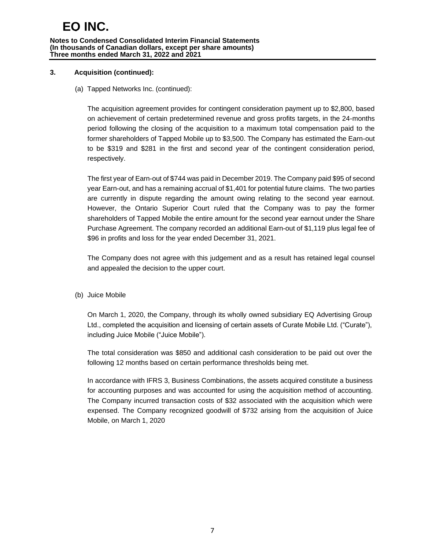#### **Notes to Condensed Consolidated Interim Financial Statements (In thousands of Canadian dollars, except per share amounts) Three months ended March 31, 2022 and 2021**

## **3. Acquisition (continued):**

(a) Tapped Networks Inc. (continued):

The acquisition agreement provides for contingent consideration payment up to \$2,800, based on achievement of certain predetermined revenue and gross profits targets, in the 24-months period following the closing of the acquisition to a maximum total compensation paid to the former shareholders of Tapped Mobile up to \$3,500. The Company has estimated the Earn-out to be \$319 and \$281 in the first and second year of the contingent consideration period, respectively.

The first year of Earn-out of \$744 was paid in December 2019. The Company paid \$95 of second year Earn-out, and has a remaining accrual of \$1,401 for potential future claims. The two parties are currently in dispute regarding the amount owing relating to the second year earnout. However, the Ontario Superior Court ruled that the Company was to pay the former shareholders of Tapped Mobile the entire amount for the second year earnout under the Share Purchase Agreement. The company recorded an additional Earn-out of \$1,119 plus legal fee of \$96 in profits and loss for the year ended December 31, 2021.

The Company does not agree with this judgement and as a result has retained legal counsel and appealed the decision to the upper court.

(b) Juice Mobile

On March 1, 2020, the Company, through its wholly owned subsidiary EQ Advertising Group Ltd., completed the acquisition and licensing of certain assets of Curate Mobile Ltd. ("Curate"), including Juice Mobile ("Juice Mobile").

The total consideration was \$850 and additional cash consideration to be paid out over the following 12 months based on certain performance thresholds being met.

In accordance with IFRS 3, Business Combinations, the assets acquired constitute a business for accounting purposes and was accounted for using the acquisition method of accounting. The Company incurred transaction costs of \$32 associated with the acquisition which were expensed. The Company recognized goodwill of \$732 arising from the acquisition of Juice Mobile, on March 1, 2020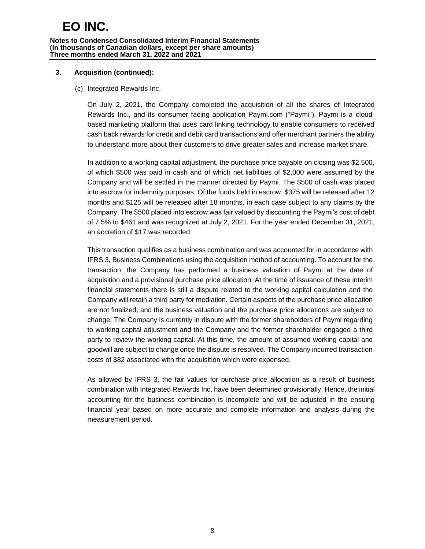## **3. Acquisition (continued):**

#### (c) Integrated Rewards Inc.

On July 2, 2021, the Company completed the acquisition of all the shares of Integrated Rewards Inc., and its consumer facing application Paymi.com ("Paymi"). Paymi is a cloudbased marketing platform that uses card linking technology to enable consumers to received cash back rewards for credit and debit card transactions and offer merchant partners the ability to understand more about their customers to drive greater sales and increase market share.

In addition to a working capital adjustment, the purchase price payable on closing was \$2,500, of which \$500 was paid in cash and of which net liabilities of \$2,000 were assumed by the Company and will be settled in the manner directed by Paymi. The \$500 of cash was placed into escrow for indemnity purposes. Of the funds held in escrow, \$375 will be released after 12 months and \$125 will be released after 18 months, in each case subject to any claims by the Company. The \$500 placed into escrow was fair valued by discounting the Paymi's cost of debt of 7.5% to \$461 and was recognized at July 2, 2021. For the year ended December 31, 2021, an accretion of \$17 was recorded.

This transaction qualifies as a business combination and was accounted for in accordance with IFRS 3, Business Combinations using the acquisition method of accounting. To account for the transaction, the Company has performed a business valuation of Paymi at the date of acquisition and a provisional purchase price allocation. At the time of issuance of these interim financial statements there is still a dispute related to the working capital calculation and the Company will retain a third party for mediation. Certain aspects of the purchase price allocation are not finalized, and the business valuation and the purchase price allocations are subject to change. The Company is currently in dispute with the former shareholders of Paymi regarding to working capital adjustment and the Company and the former shareholder engaged a third party to review the working capital. At this time, the amount of assumed working capital and goodwill are subject to change once the dispute is resolved. The Company incurred transaction costs of \$82 associated with the acquisition which were expensed.

As allowed by IFRS 3, the fair values for purchase price allocation as a result of business combination with Integrated Rewards Inc. have been determined provisionally. Hence, the initial accounting for the business combination is incomplete and will be adjusted in the ensuing financial year based on more accurate and complete information and analysis during the measurement period.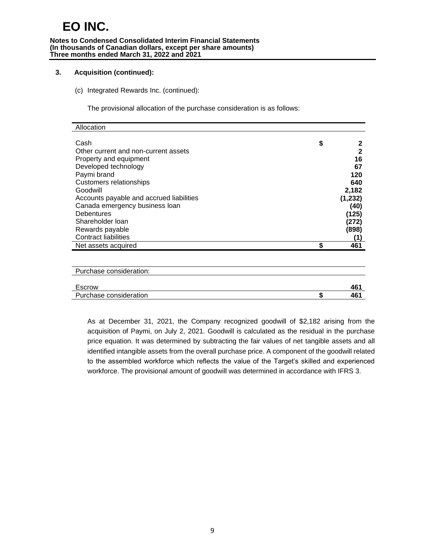#### **Notes to Condensed Consolidated Interim Financial Statements (In thousands of Canadian dollars, except per share amounts) Three months ended March 31, 2022 and 2021**

#### **3. Acquisition (continued):**

(c) Integrated Rewards Inc. (continued):

The provisional allocation of the purchase consideration is as follows:

| Allocation                               |         |
|------------------------------------------|---------|
|                                          |         |
| Cash                                     | \$<br>2 |
| Other current and non-current assets     | 2       |
| Property and equipment                   | 16      |
| Developed technology                     | 67      |
| Paymi brand                              | 120     |
| <b>Customers relationships</b>           | 640     |
| Goodwill                                 | 2,182   |
| Accounts payable and accrued liabilities | (1,232) |
| Canada emergency business loan           | (40)    |
| <b>Debentures</b>                        | (125)   |
| Shareholder Ioan                         | (272)   |
| Rewards payable                          | (898)   |
| <b>Contract liabilities</b>              | (1)     |
| Net assets acquired                      | 461     |
|                                          |         |

| Purchase consideration: |     |
|-------------------------|-----|
|                         |     |
| Escrow                  | 461 |
| Purchase consideration  | 461 |

As at December 31, 2021, the Company recognized goodwill of \$2,182 arising from the acquisition of Paymi, on July 2, 2021. Goodwill is calculated as the residual in the purchase price equation. It was determined by subtracting the fair values of net tangible assets and all identified intangible assets from the overall purchase price. A component of the goodwill related to the assembled workforce which reflects the value of the Target's skilled and experienced workforce. The provisional amount of goodwill was determined in accordance with IFRS 3.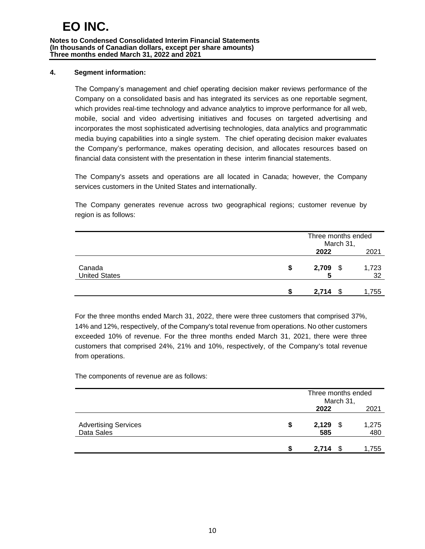**Notes to Condensed Consolidated Interim Financial Statements (In thousands of Canadian dollars, except per share amounts) Three months ended March 31, 2022 and 2021**

#### **4. Segment information:**

The Company's management and chief operating decision maker reviews performance of the Company on a consolidated basis and has integrated its services as one reportable segment, which provides real-time technology and advance analytics to improve performance for all web, mobile, social and video advertising initiatives and focuses on targeted advertising and incorporates the most sophisticated advertising technologies, data analytics and programmatic media buying capabilities into a single system. The chief operating decision maker evaluates the Company's performance, makes operating decision, and allocates resources based on financial data consistent with the presentation in these interim financial statements.

The Company's assets and operations are all located in Canada; however, the Company services customers in the United States and internationally.

The Company generates revenue across two geographical regions; customer revenue by region is as follows:

|                                | Three months ended | March 31, |             |
|--------------------------------|--------------------|-----------|-------------|
|                                | 2022               |           | 2021        |
| Canada<br><b>United States</b> | \$<br>2,709<br>5   | - \$      | 1,723<br>32 |
|                                | 2.714              |           | 1,755       |

For the three months ended March 31, 2022, there were three customers that comprised 37%, 14% and 12%, respectively, of the Company's total revenue from operations. No other customers exceeded 10% of revenue. For the three months ended March 31, 2021, there were three customers that comprised 24%, 21% and 10%, respectively, of the Company's total revenue from operations.

The components of revenue are as follows:

|                                           |   |              | Three months ended<br>March 31, |              |  |  |  |  |
|-------------------------------------------|---|--------------|---------------------------------|--------------|--|--|--|--|
|                                           |   | 2022         |                                 | 2021         |  |  |  |  |
| <b>Advertising Services</b><br>Data Sales | S | 2,129<br>585 | - \$                            | 1,275<br>480 |  |  |  |  |
|                                           |   | 2,714        |                                 | 1,755        |  |  |  |  |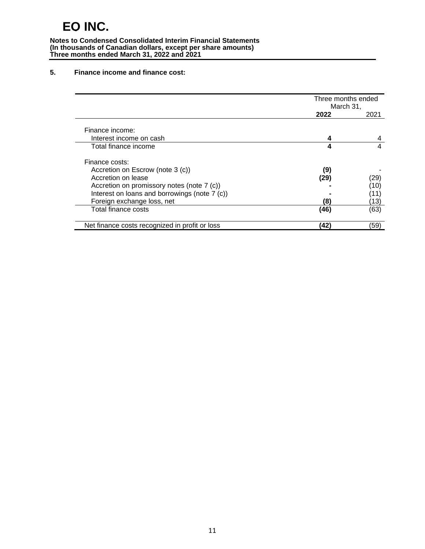**Notes to Condensed Consolidated Interim Financial Statements (In thousands of Canadian dollars, except per share amounts) Three months ended March 31, 2022 and 2021**

#### **5. Finance income and finance cost:**

|                                                | Three months ended |      |
|------------------------------------------------|--------------------|------|
|                                                | March 31,          |      |
|                                                | 2022               | 2021 |
|                                                |                    |      |
| Finance income:                                |                    |      |
| Interest income on cash                        |                    |      |
| Total finance income                           | 4                  | 4    |
|                                                |                    |      |
| Finance costs:                                 |                    |      |
| Accretion on Escrow (note 3 (c))               | (9)                |      |
| Accretion on lease                             | (29)               | (29) |
| Accretion on promissory notes (note 7 (c))     |                    | 10)  |
| Interest on loans and borrowings (note 7 (c))  |                    | 11)  |
| Foreign exchange loss, net                     | (8                 | 13)  |
| Total finance costs                            | (46)               | (63) |
|                                                |                    |      |
| Net finance costs recognized in profit or loss | 42                 | (59) |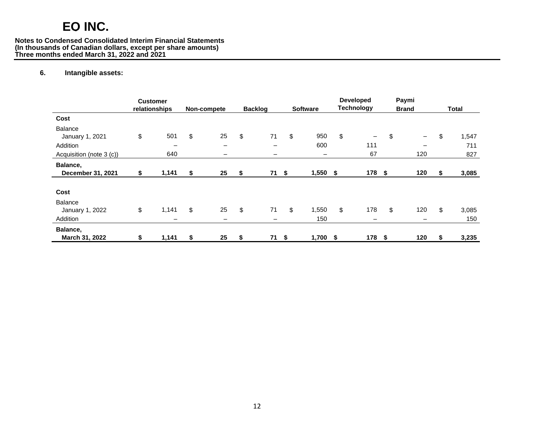#### **Notes to Condensed Consolidated Interim Financial Statements (In thousands of Canadian dollars, except per share amounts) Three months ended March 31, 2022 and 2021**

#### **6. Intangible assets:**

|                               | <b>Customer</b><br>relationships | Non-compete | <b>Backlog</b> |     | <b>Software</b> |      | <b>Developed</b><br><b>Technology</b> | Paymi<br><b>Brand</b>   |    | Total |
|-------------------------------|----------------------------------|-------------|----------------|-----|-----------------|------|---------------------------------------|-------------------------|----|-------|
| Cost                          |                                  |             |                |     |                 |      |                                       |                         |    |       |
| Balance                       |                                  |             |                |     |                 |      |                                       |                         |    |       |
| January 1, 2021               | \$<br>501                        | \$<br>25    | \$<br>71       | \$  | 950             | \$   | -                                     | \$<br>$\qquad \qquad -$ | \$ | 1,547 |
| Addition                      | $\overline{\phantom{0}}$         | -           | -              |     | 600             |      | 111                                   |                         |    | 711   |
| Acquisition (note 3 (c))      | 640                              | -           | —              |     | —               |      | 67                                    | 120                     |    | 827   |
| Balance,<br>December 31, 2021 | \$<br>1,141                      | \$<br>25    | \$<br>71S      |     | 1,550           | - \$ | 178 \$                                | 120                     | S. | 3,085 |
|                               |                                  |             |                |     |                 |      |                                       |                         |    |       |
| Cost                          |                                  |             |                |     |                 |      |                                       |                         |    |       |
| Balance                       |                                  |             |                |     |                 |      |                                       |                         |    |       |
| January 1, 2022               | \$<br>1,141                      | \$<br>25    | \$<br>71       | \$  | 1,550           | \$   | 178                                   | \$<br>120               | \$ | 3,085 |
| Addition                      |                                  | -           | -              |     | 150             |      | -                                     |                         |    | 150   |
| Balance,                      |                                  |             |                |     |                 |      |                                       |                         |    |       |
| March 31, 2022                | \$<br>1,141                      | \$<br>25    | \$             | 71S | 1,700           | \$   | 178 \$                                | 120                     | \$ | 3,235 |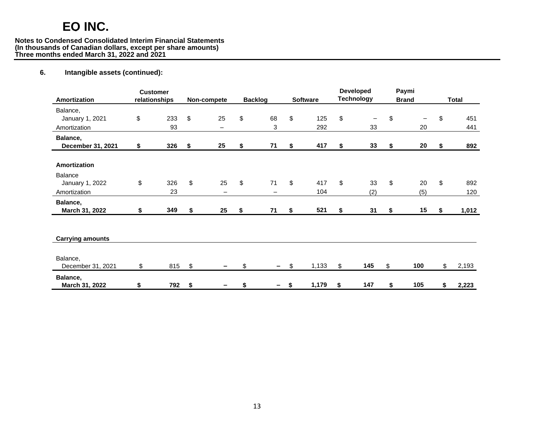#### **Notes to Condensed Consolidated Interim Financial Statements (In thousands of Canadian dollars, except per share amounts) Three months ended March 31, 2022 and 2021**

## **6. Intangible assets (continued):**

| Amortization                                               | <b>Customer</b><br>relationships | Non-compete                          |     | <b>Backlog</b> | <b>Software</b>  | <b>Developed</b><br><b>Technology</b> | Paymi<br><b>Brand</b> | <b>Total</b>     |
|------------------------------------------------------------|----------------------------------|--------------------------------------|-----|----------------|------------------|---------------------------------------|-----------------------|------------------|
| Balance,<br>January 1, 2021<br>Amortization                | \$<br>233<br>93                  | \$<br>25<br>$\overline{\phantom{0}}$ | \$  | 68<br>3        | \$<br>125<br>292 | \$<br>-<br>33                         | \$<br>20              | \$<br>451<br>441 |
| Balance,<br>December 31, 2021                              | \$<br>326                        | \$<br>25                             | \$  | 71             | \$<br>417        | \$<br>33                              | \$<br>20              | \$<br>892        |
| Amortization<br>Balance<br>January 1, 2022<br>Amortization | \$<br>326<br>23                  | \$<br>25<br>$\overline{\phantom{0}}$ | \$  | 71             | \$<br>417<br>104 | \$<br>33<br>(2)                       | \$<br>20<br>(5)       | \$<br>892<br>120 |
| Balance,<br>March 31, 2022                                 | \$<br>349                        | \$<br>25                             | \$  | 71             | \$<br>521        | \$<br>31                              | \$<br>15              | \$<br>1,012      |
| <b>Carrying amounts</b>                                    |                                  |                                      |     |                |                  |                                       |                       |                  |
| Balance,<br>December 31, 2021                              | \$<br>815                        | \$                                   | \$. |                | \$<br>1,133      | \$<br>145                             | \$<br>100             | \$<br>2,193      |
| Balance,<br>March 31, 2022                                 | \$<br>792                        | \$                                   | \$  |                | \$<br>1,179      | \$<br>147                             | \$<br>105             | \$<br>2,223      |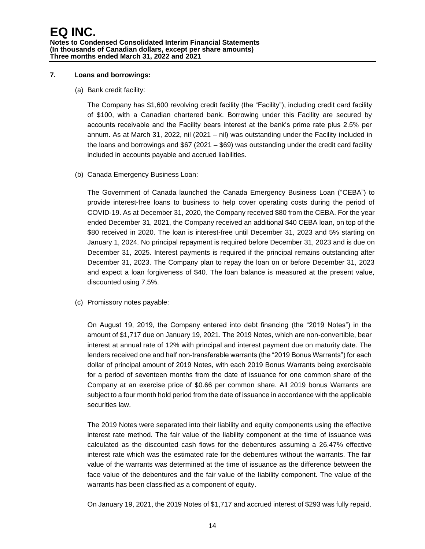#### **7. Loans and borrowings:**

#### (a) Bank credit facility:

The Company has \$1,600 revolving credit facility (the "Facility"), including credit card facility of \$100, with a Canadian chartered bank. Borrowing under this Facility are secured by accounts receivable and the Facility bears interest at the bank's prime rate plus 2.5% per annum. As at March 31, 2022, nil (2021 – nil) was outstanding under the Facility included in the loans and borrowings and \$67 (2021 – \$69) was outstanding under the credit card facility included in accounts payable and accrued liabilities.

## (b) Canada Emergency Business Loan:

The Government of Canada launched the Canada Emergency Business Loan ("CEBA") to provide interest-free loans to business to help cover operating costs during the period of COVID-19. As at December 31, 2020, the Company received \$80 from the CEBA. For the year ended December 31, 2021, the Company received an additional \$40 CEBA loan, on top of the \$80 received in 2020. The loan is interest-free until December 31, 2023 and 5% starting on January 1, 2024. No principal repayment is required before December 31, 2023 and is due on December 31, 2025. Interest payments is required if the principal remains outstanding after December 31, 2023. The Company plan to repay the loan on or before December 31, 2023 and expect a loan forgiveness of \$40. The loan balance is measured at the present value, discounted using 7.5%.

(c) Promissory notes payable:

On August 19, 2019, the Company entered into debt financing (the "2019 Notes") in the amount of \$1,717 due on January 19, 2021. The 2019 Notes, which are non-convertible, bear interest at annual rate of 12% with principal and interest payment due on maturity date. The lenders received one and half non-transferable warrants (the "2019 Bonus Warrants") for each dollar of principal amount of 2019 Notes, with each 2019 Bonus Warrants being exercisable for a period of seventeen months from the date of issuance for one common share of the Company at an exercise price of \$0.66 per common share. All 2019 bonus Warrants are subject to a four month hold period from the date of issuance in accordance with the applicable securities law.

The 2019 Notes were separated into their liability and equity components using the effective interest rate method. The fair value of the liability component at the time of issuance was calculated as the discounted cash flows for the debentures assuming a 26.47% effective interest rate which was the estimated rate for the debentures without the warrants. The fair value of the warrants was determined at the time of issuance as the difference between the face value of the debentures and the fair value of the liability component. The value of the warrants has been classified as a component of equity.

On January 19, 2021, the 2019 Notes of \$1,717 and accrued interest of \$293 was fully repaid.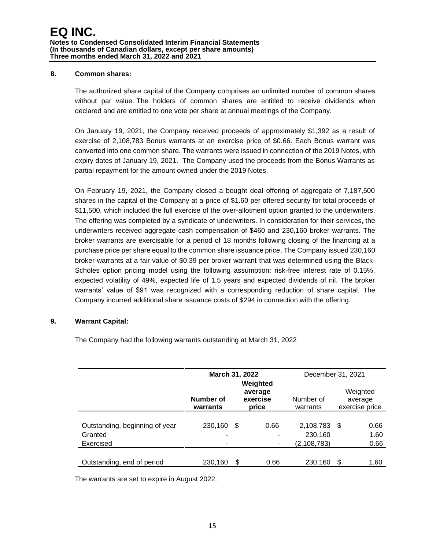#### **8. Common shares:**

The authorized share capital of the Company comprises an unlimited number of common shares without par value. The holders of common shares are entitled to receive dividends when declared and are entitled to one vote per share at annual meetings of the Company.

On January 19, 2021, the Company received proceeds of approximately \$1,392 as a result of exercise of 2,108,783 Bonus warrants at an exercise price of \$0.66. Each Bonus warrant was converted into one common share. The warrants were issued in connection of the 2019 Notes, with expiry dates of January 19, 2021. The Company used the proceeds from the Bonus Warrants as partial repayment for the amount owned under the 2019 Notes.

On February 19, 2021, the Company closed a bought deal offering of aggregate of 7,187,500 shares in the capital of the Company at a price of \$1.60 per offered security for total proceeds of \$11,500, which included the full exercise of the over-allotment option granted to the underwriters. The offering was completed by a syndicate of underwriters. In consideration for their services, the underwriters received aggregate cash compensation of \$460 and 230,160 broker warrants. The broker warrants are exercisable for a period of 18 months following closing of the financing at a purchase price per share equal to the common share issuance price. The Company issued 230,160 broker warrants at a fair value of \$0.39 per broker warrant that was determined using the Black-Scholes option pricing model using the following assumption: risk-free interest rate of 0.15%, expected volatility of 49%, expected life of 1.5 years and expected dividends of nil. The broker warrants' value of \$91 was recognized with a corresponding reduction of share capital. The Company incurred additional share issuance costs of \$294 in connection with the offering.

#### **9. Warrant Capital:**

The Company had the following warrants outstanding at March 31, 2022

|                                           | March 31, 2022        |                              | Weighted  | December 31, 2021     |      |                                       |  |
|-------------------------------------------|-----------------------|------------------------------|-----------|-----------------------|------|---------------------------------------|--|
|                                           | Number of<br>warrants | average<br>exercise<br>price |           | Number of<br>warrants |      | Weighted<br>average<br>exercise price |  |
|                                           |                       |                              |           |                       |      |                                       |  |
| Outstanding, beginning of year<br>Granted | 230,160<br>-          | S                            | 0.66<br>۰ | 2,108,783<br>230,160  | - \$ | 0.66<br>1.60                          |  |
| Exercised                                 |                       |                              |           | (2,108,783)           |      | 0.66                                  |  |
| Outstanding, end of period                | 230,160               | \$                           | 0.66      | 230,160               | S    | 1.60                                  |  |

The warrants are set to expire in August 2022.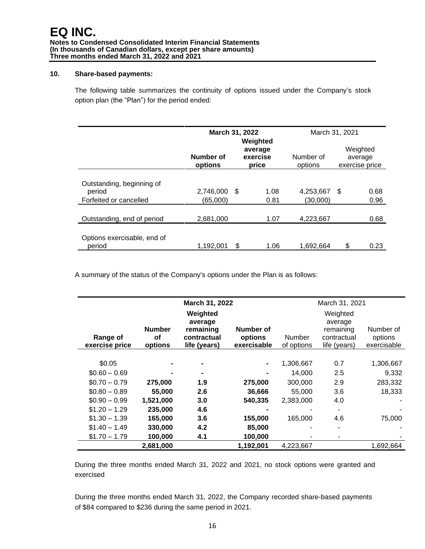#### **10. Share-based payments:**

The following table summarizes the continuity of options issued under the Company's stock option plan (the "Plan") for the period ended:

|                                       | March 31, 2022       | Weighted | March 31, 2021               |                      |      |                                       |
|---------------------------------------|----------------------|----------|------------------------------|----------------------|------|---------------------------------------|
|                                       | Number of<br>options |          | average<br>exercise<br>price | Number of<br>options |      | Weighted<br>average<br>exercise price |
|                                       |                      |          |                              |                      |      |                                       |
| Outstanding, beginning of<br>period   | 2,746,000            | - \$     | 1.08                         | 4,253,667            | - \$ | 0.68                                  |
| Forfeited or cancelled                | (65.000)             |          | 0.81                         | (30,000)             |      | 0.96                                  |
| Outstanding, end of period            | 2,681,000            |          | 1.07                         | 4,223,667            |      | 0.68                                  |
|                                       |                      |          |                              |                      |      |                                       |
| Options exercisable, end of<br>period | 1.192.001            | S        | 1.06                         | 1.692.664            | \$   | 0.23                                  |

A summary of the status of the Company's options under the Plan is as follows:

|                |               | March 31, 2022 |                              |            |              |             |  |  |  |
|----------------|---------------|----------------|------------------------------|------------|--------------|-------------|--|--|--|
|                |               | March 31, 2021 |                              |            |              |             |  |  |  |
|                |               | Weighted       |                              | Weighted   |              |             |  |  |  |
|                |               | average        |                              |            | average      |             |  |  |  |
|                | <b>Number</b> | remaining      | Number of                    |            | remaining    | Number of   |  |  |  |
| Range of       | οf            | contractual    | options                      | Number     | contractual  | options     |  |  |  |
| exercise price | options       | life (years)   | exercisable                  | of options | life (years) | exercisable |  |  |  |
|                |               |                |                              |            |              |             |  |  |  |
| \$0.05         |               |                | $\qquad \qquad \blacksquare$ | 1,306,667  | 0.7          | 1,306,667   |  |  |  |
| $$0.60 - 0.69$ |               |                |                              | 14,000     | 2.5          | 9,332       |  |  |  |
| $$0.70 - 0.79$ | 275,000       | 1.9            | 275,000                      | 300,000    | 2.9          | 283,332     |  |  |  |
| $$0.80 - 0.89$ | 55,000        | 2.6            | 36,666                       | 55,000     | 3.6          | 18,333      |  |  |  |
| $$0.90 - 0.99$ | 1,521,000     | 3.0            | 540,335                      | 2,383,000  | 4.0          |             |  |  |  |
| $$1.20 - 1.29$ | 235,000       | 4.6            |                              |            |              |             |  |  |  |
| $$1.30 - 1.39$ | 165,000       | 3.6            | 155,000                      | 165,000    | 4.6          | 75,000      |  |  |  |
| $$1.40 - 1.49$ | 330,000       | 4.2            | 85,000                       |            |              |             |  |  |  |
| $$1.70 - 1.79$ | 100,000       | 4.1            | 100,000                      |            |              |             |  |  |  |
|                | 2,681,000     |                | 1,192,001                    | 4,223,667  |              | 1,692,664   |  |  |  |

During the three months ended March 31, 2022 and 2021, no stock options were granted and exercised

During the three months ended March 31, 2022, the Company recorded share-based payments of \$84 compared to \$236 during the same period in 2021.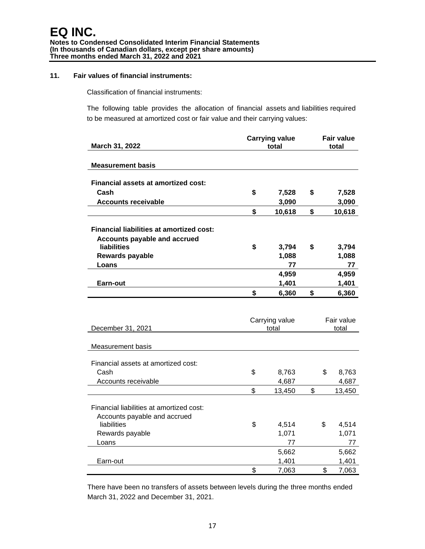#### **11. Fair values of financial instruments:**

Classification of financial instruments:

The following table provides the allocation of financial assets and liabilities required to be measured at amortized cost or fair value and their carrying values:

|                                                 | <b>Carrying value</b> | <b>Fair value</b> |            |    |                |
|-------------------------------------------------|-----------------------|-------------------|------------|----|----------------|
| March 31, 2022                                  |                       | total             |            |    | total          |
|                                                 |                       |                   |            |    |                |
| <b>Measurement basis</b>                        |                       |                   |            |    |                |
| <b>Financial assets at amortized cost:</b>      |                       |                   |            |    |                |
| Cash                                            | \$                    | 7,528             | \$         |    | 7,528          |
| <b>Accounts receivable</b>                      |                       | 3,090             |            |    | 3,090          |
|                                                 | \$                    | 10,618            | \$         |    | 10,618         |
|                                                 |                       |                   |            |    |                |
| <b>Financial liabilities at amortized cost:</b> |                       |                   |            |    |                |
| <b>Accounts payable and accrued</b>             |                       |                   |            |    |                |
| <b>liabilities</b>                              | \$                    | 3,794             | \$         |    | 3,794          |
| Rewards payable                                 |                       | 1,088             |            |    | 1,088          |
| Loans                                           |                       | 77                |            |    | 77             |
|                                                 |                       | 4,959             |            |    | 4,959          |
| Earn-out                                        |                       | 1,401             |            |    | 1,401          |
|                                                 | \$                    | 6,360             | \$         |    | 6,360          |
|                                                 |                       |                   |            |    |                |
|                                                 |                       |                   |            |    |                |
|                                                 |                       | Carrying value    | Fair value |    |                |
| December 31, 2021                               |                       | total             |            |    | total          |
| Measurement basis                               |                       |                   |            |    |                |
|                                                 |                       |                   |            |    |                |
| Financial assets at amortized cost:             |                       |                   |            |    |                |
| Cash                                            | \$                    | 8,763             |            | \$ | 8,763          |
| Accounts receivable                             |                       | 4,687             |            |    | 4,687          |
|                                                 | \$                    | 13,450            | \$         |    | 13,450         |
|                                                 |                       |                   |            |    |                |
| Financial liabilities at amortized cost:        |                       |                   |            |    |                |
| Accounts payable and accrued                    |                       |                   |            |    |                |
| liabilities                                     | \$                    | 4,514             |            | \$ | 4,514          |
| Rewards payable                                 |                       | 1,071             |            |    | 1,071          |
| Loans                                           |                       | 77                |            |    | 77             |
|                                                 |                       | 5,662             |            |    | 5,662          |
|                                                 |                       |                   |            |    |                |
| Earn-out                                        | \$                    | 1,401<br>7,063    |            | \$ | 1,401<br>7,063 |

There have been no transfers of assets between levels during the three months ended March 31, 2022 and December 31, 2021.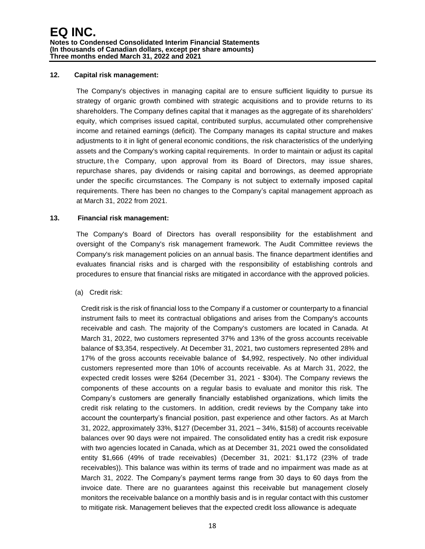#### **12. Capital risk management:**

The Company's objectives in managing capital are to ensure sufficient liquidity to pursue its strategy of organic growth combined with strategic acquisitions and to provide returns to its shareholders. The Company defines capital that it manages as the aggregate of its shareholders' equity, which comprises issued capital, contributed surplus, accumulated other comprehensive income and retained earnings (deficit). The Company manages its capital structure and makes adjustments to it in light of general economic conditions, the risk characteristics of the underlying assets and the Company's working capital requirements. In order to maintain or adjust its capital structure, the Company, upon approval from its Board of Directors, may issue shares, repurchase shares, pay dividends or raising capital and borrowings, as deemed appropriate under the specific circumstances. The Company is not subject to externally imposed capital requirements. There has been no changes to the Company's capital management approach as at March 31, 2022 from 2021.

#### **13. Financial risk management:**

The Company's Board of Directors has overall responsibility for the establishment and oversight of the Company's risk management framework. The Audit Committee reviews the Company's risk management policies on an annual basis. The finance department identifies and evaluates financial risks and is charged with the responsibility of establishing controls and procedures to ensure that financial risks are mitigated in accordance with the approved policies.

#### (a) Credit risk:

Credit risk is the risk of financial loss to the Company if a customer or counterparty to a financial instrument fails to meet its contractual obligations and arises from the Company's accounts receivable and cash. The majority of the Company's customers are located in Canada. At March 31, 2022, two customers represented 37% and 13% of the gross accounts receivable balance of \$3,354, respectively. At December 31, 2021, two customers represented 28% and 17% of the gross accounts receivable balance of \$4,992, respectively. No other individual customers represented more than 10% of accounts receivable. As at March 31, 2022, the expected credit losses were \$264 (December 31, 2021 - \$304). The Company reviews the components of these accounts on a regular basis to evaluate and monitor this risk. The Company's customers are generally financially established organizations, which limits the credit risk relating to the customers. In addition, credit reviews by the Company take into account the counterparty's financial position, past experience and other factors. As at March 31, 2022, approximately 33%, \$127 (December 31, 2021 – 34%, \$158) of accounts receivable balances over 90 days were not impaired. The consolidated entity has a credit risk exposure with two agencies located in Canada, which as at December 31, 2021 owed the consolidated entity \$1,666 (49% of trade receivables) (December 31, 2021: \$1,172 (23% of trade receivables)). This balance was within its terms of trade and no impairment was made as at March 31, 2022. The Company's payment terms range from 30 days to 60 days from the invoice date. There are no guarantees against this receivable but management closely monitors the receivable balance on a monthly basis and is in regular contact with this customer to mitigate risk. Management believes that the expected credit loss allowance is adequate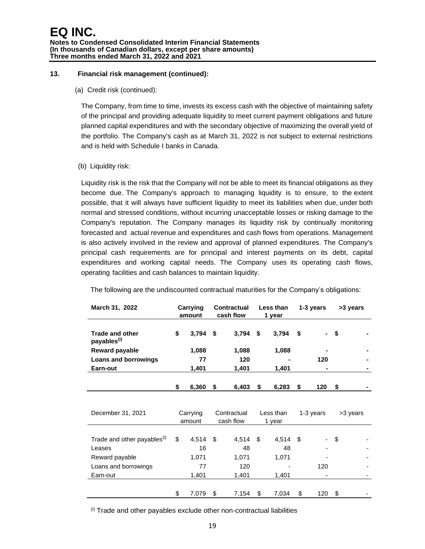#### **13. Financial risk management (continued):**

(a) Credit risk (continued):

The Company, from time to time, invests its excess cash with the objective of maintaining safety of the principal and providing adequate liquidity to meet current payment obligations and future planned capital expenditures and with the secondary objective of maximizing the overall yield of the portfolio. The Company's cash as at March 31, 2022 is not subject to external restrictions and is held with Schedule I banks in Canada.

(b) Liquidity risk:

Liquidity risk is the risk that the Company will not be able to meet its financial obligations as they become due. The Company's approach to managing liquidity is to ensure, to the extent possible, that it will always have sufficient liquidity to meet its liabilities when due, under both normal and stressed conditions, without incurring unacceptable losses or risking damage to the Company's reputation. The Company manages its liquidity risk by continually monitoring forecasted and actual revenue and expenditures and cash flows from operations. Management is also actively involved in the review and approval of planned expenditures. The Company's principal cash requirements are for principal and interest payments on its debt, capital expenditures and working capital needs. The Company uses its operating cash flows, operating facilities and cash balances to maintain liquidity.

| March 31, 2022                                    |          | Carrying<br>amount |                          | <b>Contractual</b><br>cash flow |                     | Less than<br>1 year |      | 1-3 years | >3 years |  |
|---------------------------------------------------|----------|--------------------|--------------------------|---------------------------------|---------------------|---------------------|------|-----------|----------|--|
| <b>Trade and other</b><br>payables <sup>(i)</sup> | \$       | $3,794$ \$         |                          | $3,794$ \$                      |                     | 3,794               | \$   |           | \$       |  |
| <b>Reward payable</b>                             |          | 1,088              |                          | 1,088                           |                     | 1,088               |      |           |          |  |
| Loans and borrowings                              |          | 77                 |                          | 120                             |                     |                     |      | 120       |          |  |
| Earn-out                                          |          | 1,401              |                          | 1,401                           |                     | 1,401               |      |           |          |  |
|                                                   | \$       | 6,360              | \$                       | 6,403                           | \$                  | 6,283               | - \$ | 120       | \$       |  |
|                                                   |          |                    |                          |                                 |                     |                     |      |           |          |  |
| December 31, 2021                                 | Carrying |                    | Contractual<br>cash flow |                                 | Less than<br>1 year |                     |      | 1-3 years | >3 years |  |
|                                                   |          | amount             |                          |                                 |                     |                     |      |           |          |  |
|                                                   |          |                    |                          |                                 |                     |                     |      |           |          |  |
| Trade and other payables <sup>(i)</sup>           | \$       | $4,514$ \$         |                          | $4,514$ \$                      |                     | $4,514$ \$          |      |           | \$       |  |
| Leases                                            |          | 16                 |                          | 48                              |                     | 48                  |      |           |          |  |
| Reward payable                                    |          | 1,071              |                          | 1,071                           |                     | 1,071               |      |           |          |  |
| Loans and borrowings                              |          | 77                 |                          | 120                             |                     |                     |      | 120       |          |  |
| Earn-out                                          |          | 1,401              |                          | 1,401                           |                     | 1,401               |      |           |          |  |
|                                                   | \$       | 7,079              | \$                       | 7,154                           | \$                  | 7,034               | \$   | 120       | \$       |  |

The following are the undiscounted contractual maturities for the Company's obligations:

 $(0)$  Trade and other payables exclude other non-contractual liabilities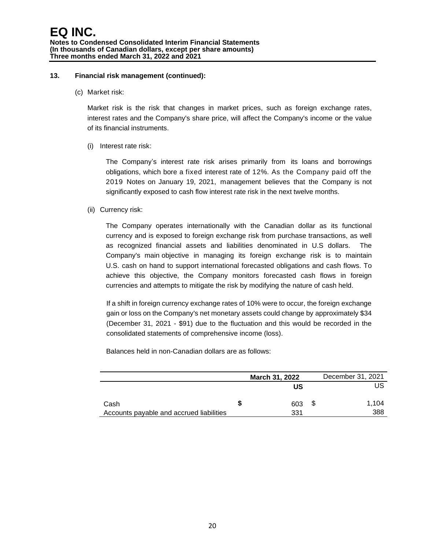#### **13. Financial risk management (continued):**

(c) Market risk:

Market risk is the risk that changes in market prices, such as foreign exchange rates, interest rates and the Company's share price, will affect the Company's income or the value of its financial instruments.

(i) Interest rate risk:

The Company's interest rate risk arises primarily from its loans and borrowings obligations, which bore a fixed interest rate of 12%. As the Company paid off the 2019 Notes on January 19, 2021, management believes that the Company is not significantly exposed to cash flow interest rate risk in the next twelve months.

(ii) Currency risk:

The Company operates internationally with the Canadian dollar as its functional currency and is exposed to foreign exchange risk from purchase transactions, as well as recognized financial assets and liabilities denominated in U.S dollars. The Company's main objective in managing its foreign exchange risk is to maintain U.S. cash on hand to support international forecasted obligations and cash flows. To achieve this objective, the Company monitors forecasted cash flows in foreign currencies and attempts to mitigate the risk by modifying the nature of cash held.

If a shift in foreign currency exchange rates of 10% were to occur, the foreign exchange gain or loss on the Company's net monetary assets could change by approximately \$34 (December 31, 2021 - \$91) due to the fluctuation and this would be recorded in the consolidated statements of comprehensive income (loss).

Balances held in non-Canadian dollars are as follows:

|                                          |   | <b>March 31, 2022</b> | December 31, 2021 |
|------------------------------------------|---|-----------------------|-------------------|
|                                          |   | บร                    | US                |
| Cash                                     | S | 603                   | \$<br>1.104       |
| Accounts payable and accrued liabilities |   | 331                   | 388               |